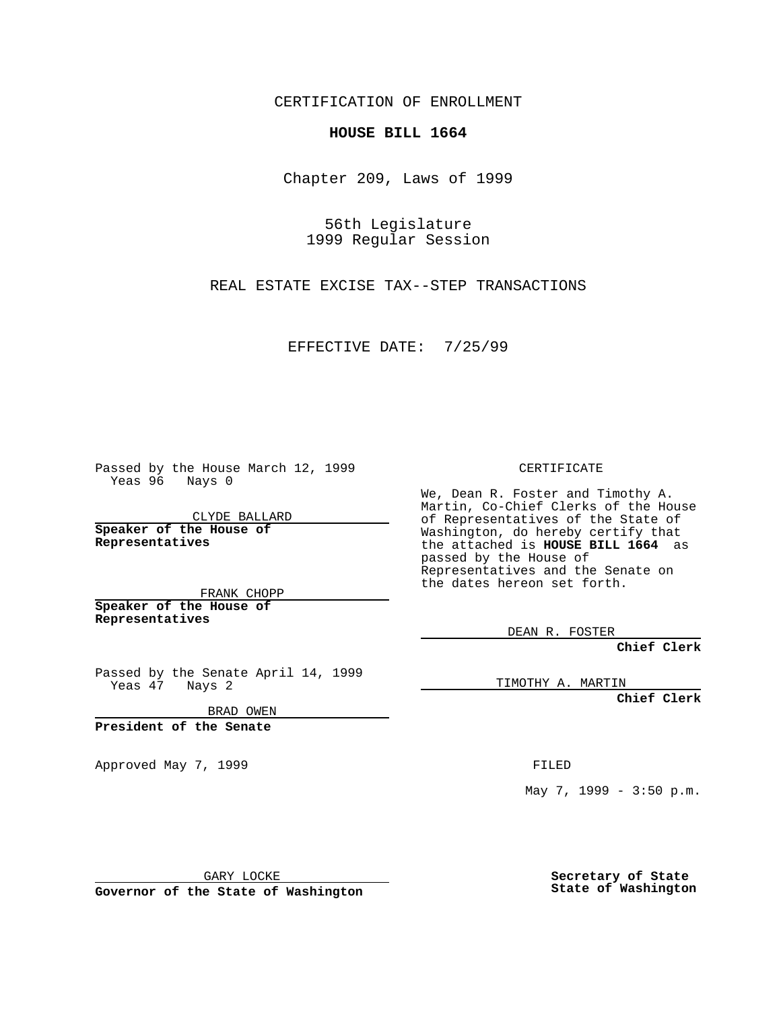CERTIFICATION OF ENROLLMENT

## **HOUSE BILL 1664**

Chapter 209, Laws of 1999

56th Legislature 1999 Regular Session

REAL ESTATE EXCISE TAX--STEP TRANSACTIONS

EFFECTIVE DATE: 7/25/99

Passed by the House March 12, 1999 Yeas 96 Nays 0

CLYDE BALLARD **Speaker of the House of Representatives**

FRANK CHOPP **Speaker of the House of Representatives**

Passed by the Senate April 14, 1999 Yeas 47 Nays 2

BRAD OWEN

**President of the Senate**

Approved May 7, 1999 **FILED** 

CERTIFICATE

We, Dean R. Foster and Timothy A. Martin, Co-Chief Clerks of the House of Representatives of the State of Washington, do hereby certify that the attached is **HOUSE BILL 1664** as passed by the House of Representatives and the Senate on the dates hereon set forth.

DEAN R. FOSTER

**Chief Clerk**

TIMOTHY A. MARTIN

**Chief Clerk**

May 7, 1999 - 3:50 p.m.

GARY LOCKE

**Governor of the State of Washington**

**Secretary of State State of Washington**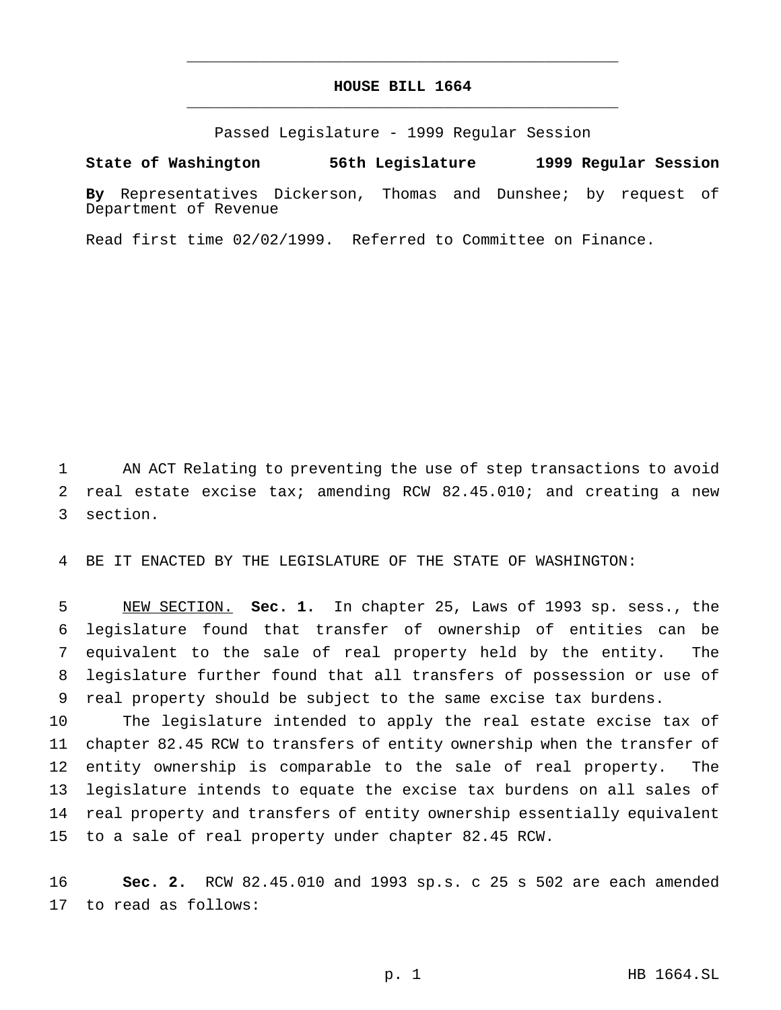## **HOUSE BILL 1664** \_\_\_\_\_\_\_\_\_\_\_\_\_\_\_\_\_\_\_\_\_\_\_\_\_\_\_\_\_\_\_\_\_\_\_\_\_\_\_\_\_\_\_\_\_\_\_

\_\_\_\_\_\_\_\_\_\_\_\_\_\_\_\_\_\_\_\_\_\_\_\_\_\_\_\_\_\_\_\_\_\_\_\_\_\_\_\_\_\_\_\_\_\_\_

Passed Legislature - 1999 Regular Session

## **State of Washington 56th Legislature 1999 Regular Session**

**By** Representatives Dickerson, Thomas and Dunshee; by request of Department of Revenue

Read first time 02/02/1999. Referred to Committee on Finance.

 AN ACT Relating to preventing the use of step transactions to avoid real estate excise tax; amending RCW 82.45.010; and creating a new section.

BE IT ENACTED BY THE LEGISLATURE OF THE STATE OF WASHINGTON:

 NEW SECTION. **Sec. 1.** In chapter 25, Laws of 1993 sp. sess., the legislature found that transfer of ownership of entities can be equivalent to the sale of real property held by the entity. The legislature further found that all transfers of possession or use of real property should be subject to the same excise tax burdens.

 The legislature intended to apply the real estate excise tax of chapter 82.45 RCW to transfers of entity ownership when the transfer of entity ownership is comparable to the sale of real property. The legislature intends to equate the excise tax burdens on all sales of real property and transfers of entity ownership essentially equivalent to a sale of real property under chapter 82.45 RCW.

 **Sec. 2.** RCW 82.45.010 and 1993 sp.s. c 25 s 502 are each amended to read as follows: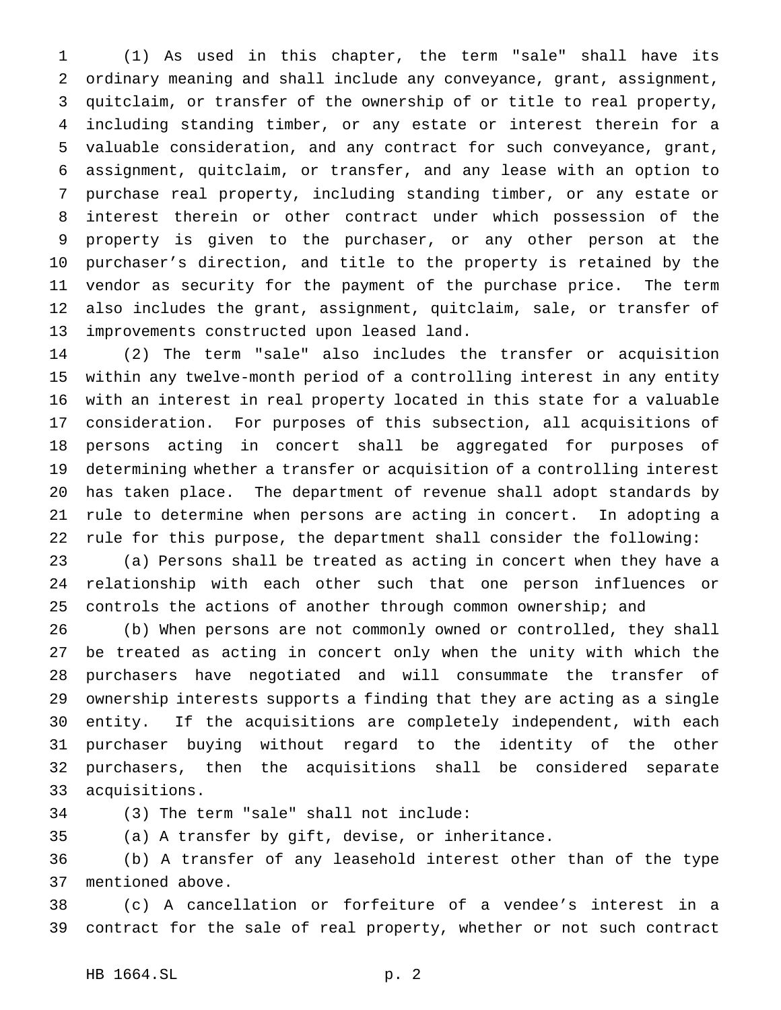(1) As used in this chapter, the term "sale" shall have its ordinary meaning and shall include any conveyance, grant, assignment, quitclaim, or transfer of the ownership of or title to real property, including standing timber, or any estate or interest therein for a valuable consideration, and any contract for such conveyance, grant, assignment, quitclaim, or transfer, and any lease with an option to purchase real property, including standing timber, or any estate or interest therein or other contract under which possession of the property is given to the purchaser, or any other person at the purchaser's direction, and title to the property is retained by the vendor as security for the payment of the purchase price. The term also includes the grant, assignment, quitclaim, sale, or transfer of improvements constructed upon leased land.

 (2) The term "sale" also includes the transfer or acquisition within any twelve-month period of a controlling interest in any entity with an interest in real property located in this state for a valuable consideration. For purposes of this subsection, all acquisitions of persons acting in concert shall be aggregated for purposes of determining whether a transfer or acquisition of a controlling interest has taken place. The department of revenue shall adopt standards by rule to determine when persons are acting in concert. In adopting a rule for this purpose, the department shall consider the following:

 (a) Persons shall be treated as acting in concert when they have a relationship with each other such that one person influences or controls the actions of another through common ownership; and

 (b) When persons are not commonly owned or controlled, they shall be treated as acting in concert only when the unity with which the purchasers have negotiated and will consummate the transfer of ownership interests supports a finding that they are acting as a single entity. If the acquisitions are completely independent, with each purchaser buying without regard to the identity of the other purchasers, then the acquisitions shall be considered separate acquisitions.

(3) The term "sale" shall not include:

(a) A transfer by gift, devise, or inheritance.

 (b) A transfer of any leasehold interest other than of the type mentioned above.

 (c) A cancellation or forfeiture of a vendee's interest in a contract for the sale of real property, whether or not such contract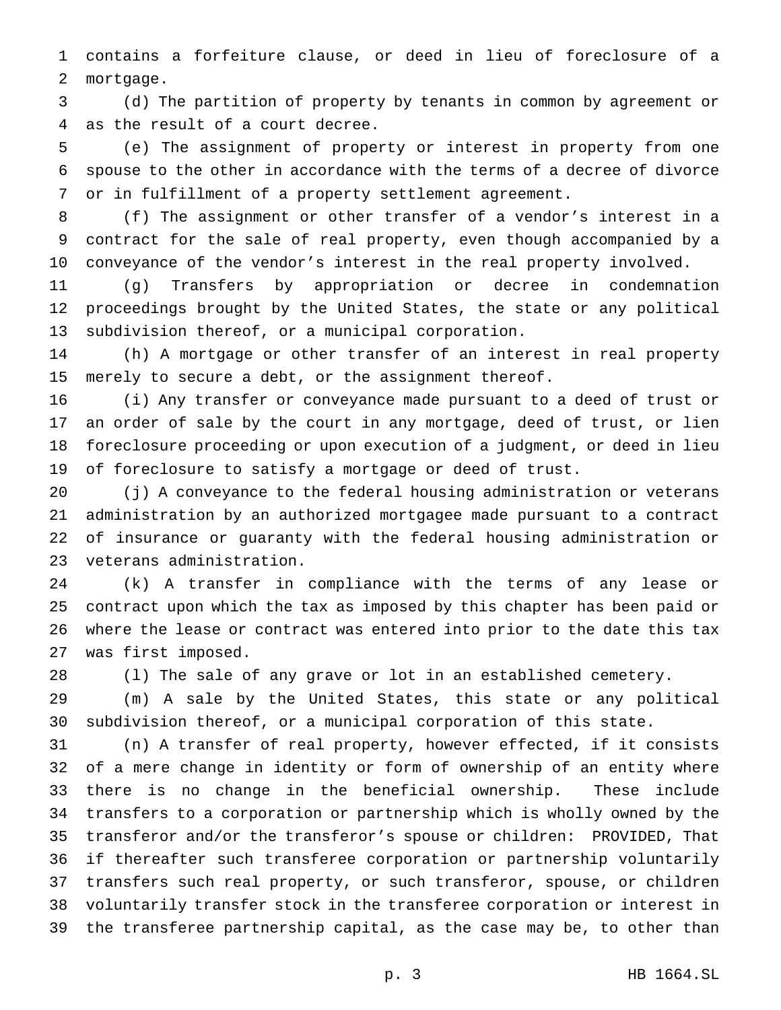contains a forfeiture clause, or deed in lieu of foreclosure of a mortgage.

 (d) The partition of property by tenants in common by agreement or as the result of a court decree.

 (e) The assignment of property or interest in property from one spouse to the other in accordance with the terms of a decree of divorce or in fulfillment of a property settlement agreement.

 (f) The assignment or other transfer of a vendor's interest in a contract for the sale of real property, even though accompanied by a conveyance of the vendor's interest in the real property involved.

 (g) Transfers by appropriation or decree in condemnation proceedings brought by the United States, the state or any political subdivision thereof, or a municipal corporation.

 (h) A mortgage or other transfer of an interest in real property merely to secure a debt, or the assignment thereof.

 (i) Any transfer or conveyance made pursuant to a deed of trust or an order of sale by the court in any mortgage, deed of trust, or lien foreclosure proceeding or upon execution of a judgment, or deed in lieu of foreclosure to satisfy a mortgage or deed of trust.

 (j) A conveyance to the federal housing administration or veterans administration by an authorized mortgagee made pursuant to a contract of insurance or guaranty with the federal housing administration or veterans administration.

 (k) A transfer in compliance with the terms of any lease or contract upon which the tax as imposed by this chapter has been paid or where the lease or contract was entered into prior to the date this tax was first imposed.

(l) The sale of any grave or lot in an established cemetery.

 (m) A sale by the United States, this state or any political subdivision thereof, or a municipal corporation of this state.

 (n) A transfer of real property, however effected, if it consists of a mere change in identity or form of ownership of an entity where there is no change in the beneficial ownership. These include transfers to a corporation or partnership which is wholly owned by the transferor and/or the transferor's spouse or children: PROVIDED, That if thereafter such transferee corporation or partnership voluntarily transfers such real property, or such transferor, spouse, or children voluntarily transfer stock in the transferee corporation or interest in the transferee partnership capital, as the case may be, to other than